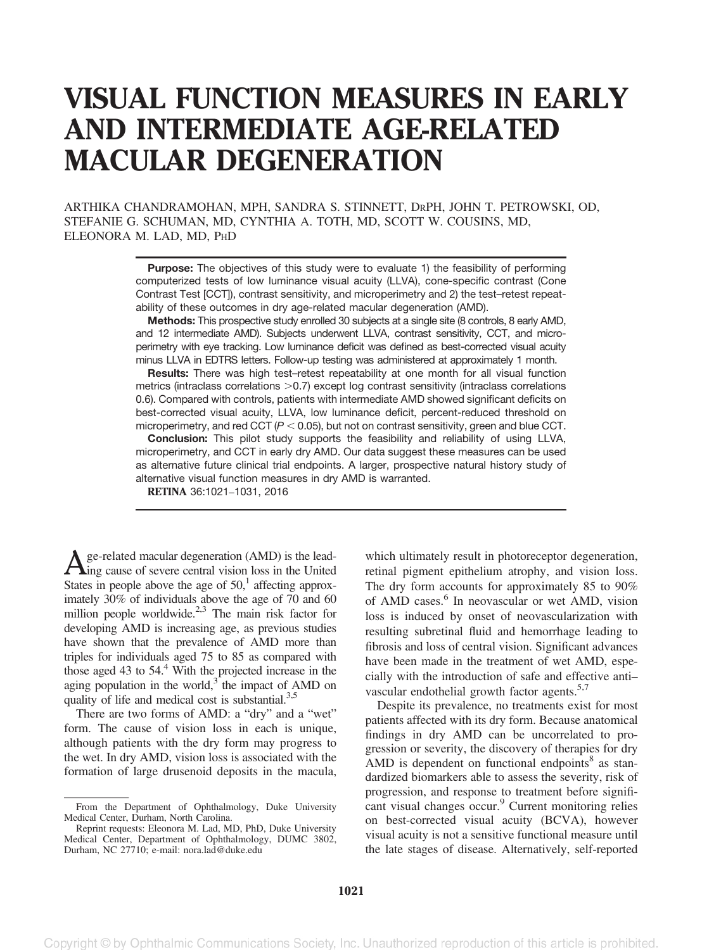# VISUAL FUNCTION MEASURES IN EARLY AND INTERMEDIATE AGE-RELATED MACULAR DEGENERATION

ARTHIKA CHANDRAMOHAN, MPH, SANDRA S. STINNETT, DRPH, JOHN T. PETROWSKI, OD, STEFANIE G. SCHUMAN, MD, CYNTHIA A. TOTH, MD, SCOTT W. COUSINS, MD, ELEONORA M. LAD, MD, PHD

> **Purpose:** The objectives of this study were to evaluate 1) the feasibility of performing computerized tests of low luminance visual acuity (LLVA), cone-specific contrast (Cone Contrast Test [CCT]), contrast sensitivity, and microperimetry and 2) the test–retest repeatability of these outcomes in dry age-related macular degeneration (AMD).

> Methods: This prospective study enrolled 30 subjects at a single site (8 controls, 8 early AMD, and 12 intermediate AMD). Subjects underwent LLVA, contrast sensitivity, CCT, and microperimetry with eye tracking. Low luminance deficit was defined as best-corrected visual acuity minus LLVA in EDTRS letters. Follow-up testing was administered at approximately 1 month.

> Results: There was high test–retest repeatability at one month for all visual function metrics (intraclass correlations  $>0.7$ ) except log contrast sensitivity (intraclass correlations 0.6). Compared with controls, patients with intermediate AMD showed significant deficits on best-corrected visual acuity, LLVA, low luminance deficit, percent-reduced threshold on microperimetry, and red CCT ( $P < 0.05$ ), but not on contrast sensitivity, green and blue CCT.

> Conclusion: This pilot study supports the feasibility and reliability of using LLVA, microperimetry, and CCT in early dry AMD. Our data suggest these measures can be used as alternative future clinical trial endpoints. A larger, prospective natural history study of alternative visual function measures in dry AMD is warranted.

RETINA 36:1021–1031, 2016

 $\sum_{\text{g} \in \text{related}}$  macular degeneration (AMD) is the lead-<br>Section loss in the United States in people above the age of  $50<sup>1</sup>$  affecting approximately 30% of individuals above the age of 70 and 60 million people worldwide. $2,3$  The main risk factor for developing AMD is increasing age, as previous studies have shown that the prevalence of AMD more than triples for individuals aged 75 to 85 as compared with those aged 43 to  $54<sup>4</sup>$  With the projected increase in the aging population in the world, $3\degree$  the impact of AMD on quality of life and medical cost is substantial. $3,5$ 

There are two forms of AMD: a "dry" and a "wet" form. The cause of vision loss in each is unique, although patients with the dry form may progress to the wet. In dry AMD, vision loss is associated with the formation of large drusenoid deposits in the macula, which ultimately result in photoreceptor degeneration, retinal pigment epithelium atrophy, and vision loss. The dry form accounts for approximately 85 to 90% of AMD cases.<sup>6</sup> In neovascular or wet AMD, vision loss is induced by onset of neovascularization with resulting subretinal fluid and hemorrhage leading to fibrosis and loss of central vision. Significant advances have been made in the treatment of wet AMD, especially with the introduction of safe and effective anti– vascular endothelial growth factor agents.<sup>5,7</sup>

Despite its prevalence, no treatments exist for most patients affected with its dry form. Because anatomical findings in dry AMD can be uncorrelated to progression or severity, the discovery of therapies for dry AMD is dependent on functional endpoints $8$  as standardized biomarkers able to assess the severity, risk of progression, and response to treatment before significant visual changes occur.<sup>9</sup> Current monitoring relies on best-corrected visual acuity (BCVA), however visual acuity is not a sensitive functional measure until the late stages of disease. Alternatively, self-reported

From the Department of Ophthalmology, Duke University Medical Center, Durham, North Carolina.

Reprint requests: Eleonora M. Lad, MD, PhD, Duke University Medical Center, Department of Ophthalmology, DUMC 3802, Durham, NC 27710; e-mail: nora.lad@duke.edu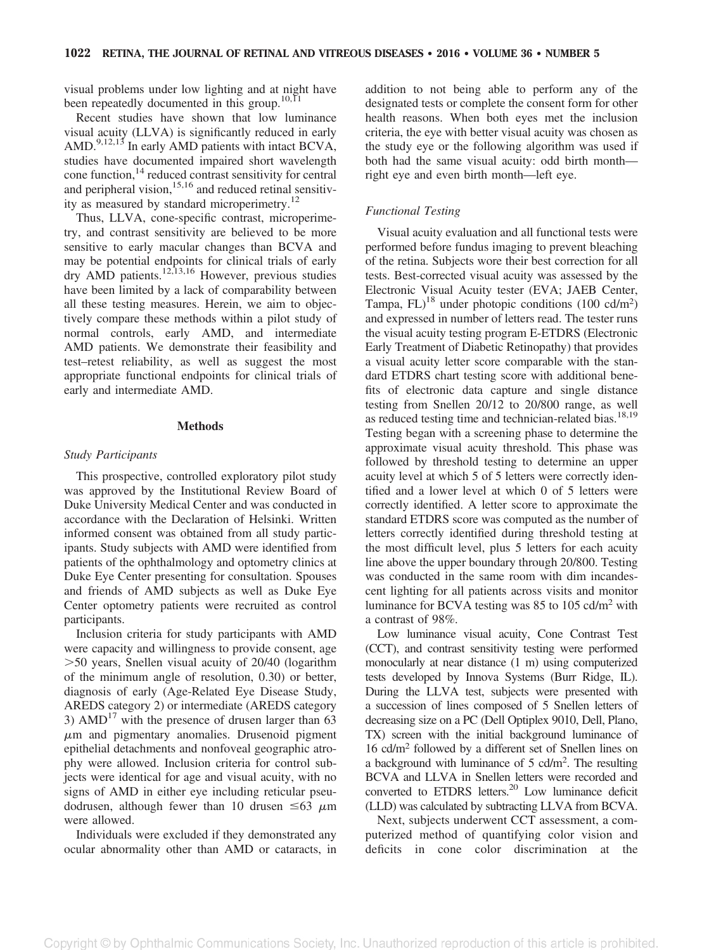visual problems under low lighting and at night have been repeatedly documented in this group.<sup>10,11</sup>

Recent studies have shown that low luminance visual acuity (LLVA) is significantly reduced in early AMD. $9,12,13$  In early AMD patients with intact BCVA, studies have documented impaired short wavelength cone function, $14$  reduced contrast sensitivity for central and peripheral vision,<sup>15,16</sup> and reduced retinal sensitivity as measured by standard microperimetry.<sup>12</sup>

Thus, LLVA, cone-specific contrast, microperimetry, and contrast sensitivity are believed to be more sensitive to early macular changes than BCVA and may be potential endpoints for clinical trials of early  $\text{dry AND patients.}^{12,13,16}$  However, previous studies have been limited by a lack of comparability between all these testing measures. Herein, we aim to objectively compare these methods within a pilot study of normal controls, early AMD, and intermediate AMD patients. We demonstrate their feasibility and test–retest reliability, as well as suggest the most appropriate functional endpoints for clinical trials of early and intermediate AMD.

#### Methods

#### Study Participants

This prospective, controlled exploratory pilot study was approved by the Institutional Review Board of Duke University Medical Center and was conducted in accordance with the Declaration of Helsinki. Written informed consent was obtained from all study participants. Study subjects with AMD were identified from patients of the ophthalmology and optometry clinics at Duke Eye Center presenting for consultation. Spouses and friends of AMD subjects as well as Duke Eye Center optometry patients were recruited as control participants.

Inclusion criteria for study participants with AMD were capacity and willingness to provide consent, age .50 years, Snellen visual acuity of 20/40 (logarithm of the minimum angle of resolution, 0.30) or better, diagnosis of early (Age-Related Eye Disease Study, AREDS category 2) or intermediate (AREDS category 3)  $AMD<sup>17</sup>$  with the presence of drusen larger than 63  $\mu$ m and pigmentary anomalies. Drusenoid pigment epithelial detachments and nonfoveal geographic atrophy were allowed. Inclusion criteria for control subjects were identical for age and visual acuity, with no signs of AMD in either eye including reticular pseudodrusen, although fewer than 10 drusen  $\leq 63 \mu m$ were allowed.

Individuals were excluded if they demonstrated any ocular abnormality other than AMD or cataracts, in addition to not being able to perform any of the designated tests or complete the consent form for other health reasons. When both eyes met the inclusion criteria, the eye with better visual acuity was chosen as the study eye or the following algorithm was used if both had the same visual acuity: odd birth month right eye and even birth month—left eye.

#### Functional Testing

Visual acuity evaluation and all functional tests were performed before fundus imaging to prevent bleaching of the retina. Subjects wore their best correction for all tests. Best-corrected visual acuity was assessed by the Electronic Visual Acuity tester (EVA; JAEB Center, Tampa,  $FL)^{18}$  under photopic conditions (100 cd/m<sup>2</sup>) and expressed in number of letters read. The tester runs the visual acuity testing program E-ETDRS (Electronic Early Treatment of Diabetic Retinopathy) that provides a visual acuity letter score comparable with the standard ETDRS chart testing score with additional benefits of electronic data capture and single distance testing from Snellen 20/12 to 20/800 range, as well as reduced testing time and technician-related bias.<sup>18,19</sup> Testing began with a screening phase to determine the approximate visual acuity threshold. This phase was followed by threshold testing to determine an upper acuity level at which 5 of 5 letters were correctly identified and a lower level at which 0 of 5 letters were correctly identified. A letter score to approximate the standard ETDRS score was computed as the number of letters correctly identified during threshold testing at the most difficult level, plus 5 letters for each acuity line above the upper boundary through 20/800. Testing was conducted in the same room with dim incandescent lighting for all patients across visits and monitor luminance for BCVA testing was 85 to 105 cd/m2 with a contrast of 98%.

Low luminance visual acuity, Cone Contrast Test (CCT), and contrast sensitivity testing were performed monocularly at near distance (1 m) using computerized tests developed by Innova Systems (Burr Ridge, IL). During the LLVA test, subjects were presented with a succession of lines composed of 5 Snellen letters of decreasing size on a PC (Dell Optiplex 9010, Dell, Plano, TX) screen with the initial background luminance of 16 cd/m2 followed by a different set of Snellen lines on a background with luminance of 5 cd/m2 . The resulting BCVA and LLVA in Snellen letters were recorded and converted to ETDRS letters.<sup>20</sup> Low luminance deficit (LLD) was calculated by subtracting LLVA from BCVA.

Next, subjects underwent CCT assessment, a computerized method of quantifying color vision and deficits in cone color discrimination at the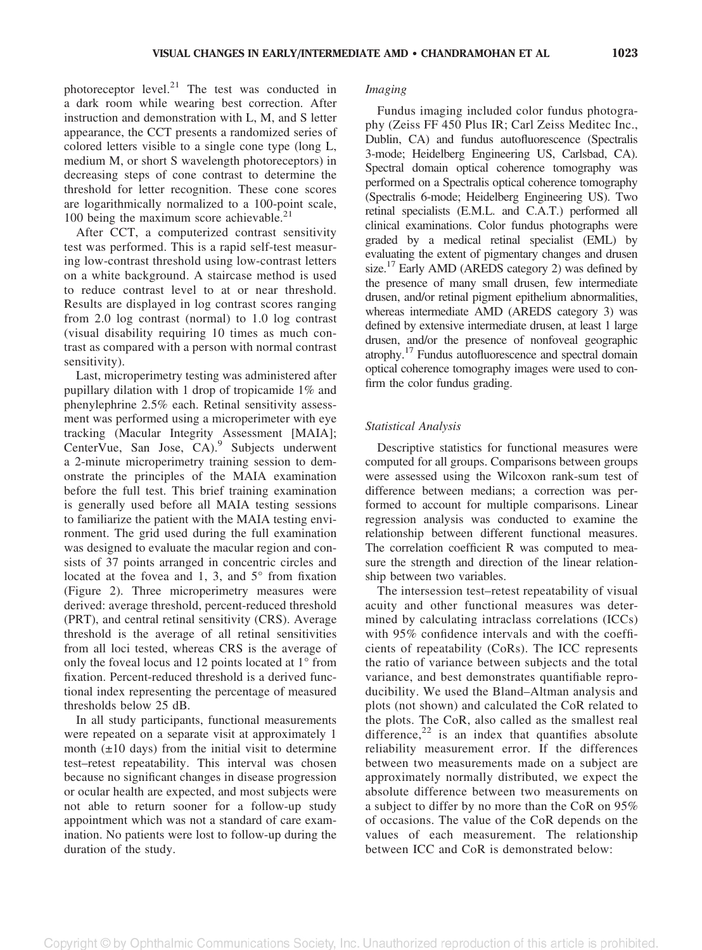Imaging

photoreceptor level. $21$  The test was conducted in a dark room while wearing best correction. After instruction and demonstration with L, M, and S letter appearance, the CCT presents a randomized series of colored letters visible to a single cone type (long L, medium M, or short S wavelength photoreceptors) in decreasing steps of cone contrast to determine the threshold for letter recognition. These cone scores are logarithmically normalized to a 100-point scale, 100 being the maximum score achievable.<sup>21</sup>

After CCT, a computerized contrast sensitivity test was performed. This is a rapid self-test measuring low-contrast threshold using low-contrast letters on a white background. A staircase method is used to reduce contrast level to at or near threshold. Results are displayed in log contrast scores ranging from 2.0 log contrast (normal) to 1.0 log contrast (visual disability requiring 10 times as much contrast as compared with a person with normal contrast sensitivity).

Last, microperimetry testing was administered after pupillary dilation with 1 drop of tropicamide 1% and phenylephrine 2.5% each. Retinal sensitivity assessment was performed using a microperimeter with eye tracking (Macular Integrity Assessment [MAIA]; CenterVue, San Jose, CA).<sup>9</sup> Subjects underwent a 2-minute microperimetry training session to demonstrate the principles of the MAIA examination before the full test. This brief training examination is generally used before all MAIA testing sessions to familiarize the patient with the MAIA testing environment. The grid used during the full examination was designed to evaluate the macular region and consists of 37 points arranged in concentric circles and located at the fovea and 1, 3, and 5° from fixation (Figure 2). Three microperimetry measures were derived: average threshold, percent-reduced threshold (PRT), and central retinal sensitivity (CRS). Average threshold is the average of all retinal sensitivities from all loci tested, whereas CRS is the average of only the foveal locus and 12 points located at 1° from fixation. Percent-reduced threshold is a derived functional index representing the percentage of measured thresholds below 25 dB.

In all study participants, functional measurements were repeated on a separate visit at approximately 1 month  $(\pm 10 \text{ days})$  from the initial visit to determine test–retest repeatability. This interval was chosen because no significant changes in disease progression or ocular health are expected, and most subjects were not able to return sooner for a follow-up study appointment which was not a standard of care examination. No patients were lost to follow-up during the duration of the study.

Fundus imaging included color fundus photography (Zeiss FF 450 Plus IR; Carl Zeiss Meditec Inc., Dublin, CA) and fundus autofluorescence (Spectralis 3-mode; Heidelberg Engineering US, Carlsbad, CA). Spectral domain optical coherence tomography was performed on a Spectralis optical coherence tomography (Spectralis 6-mode; Heidelberg Engineering US). Two retinal specialists (E.M.L. and C.A.T.) performed all clinical examinations. Color fundus photographs were graded by a medical retinal specialist (EML) by evaluating the extent of pigmentary changes and drusen size.<sup>17</sup> Early AMD (AREDS category 2) was defined by the presence of many small drusen, few intermediate drusen, and/or retinal pigment epithelium abnormalities, whereas intermediate AMD (AREDS category 3) was defined by extensive intermediate drusen, at least 1 large drusen, and/or the presence of nonfoveal geographic atrophy.17 Fundus autofluorescence and spectral domain optical coherence tomography images were used to confirm the color fundus grading.

### Statistical Analysis

Descriptive statistics for functional measures were computed for all groups. Comparisons between groups were assessed using the Wilcoxon rank-sum test of difference between medians; a correction was performed to account for multiple comparisons. Linear regression analysis was conducted to examine the relationship between different functional measures. The correlation coefficient R was computed to measure the strength and direction of the linear relationship between two variables.

The intersession test–retest repeatability of visual acuity and other functional measures was determined by calculating intraclass correlations (ICCs) with 95% confidence intervals and with the coefficients of repeatability (CoRs). The ICC represents the ratio of variance between subjects and the total variance, and best demonstrates quantifiable reproducibility. We used the Bland–Altman analysis and plots (not shown) and calculated the CoR related to the plots. The CoR, also called as the smallest real difference, $22$  is an index that quantifies absolute reliability measurement error. If the differences between two measurements made on a subject are approximately normally distributed, we expect the absolute difference between two measurements on a subject to differ by no more than the CoR on 95% of occasions. The value of the CoR depends on the values of each measurement. The relationship between ICC and CoR is demonstrated below: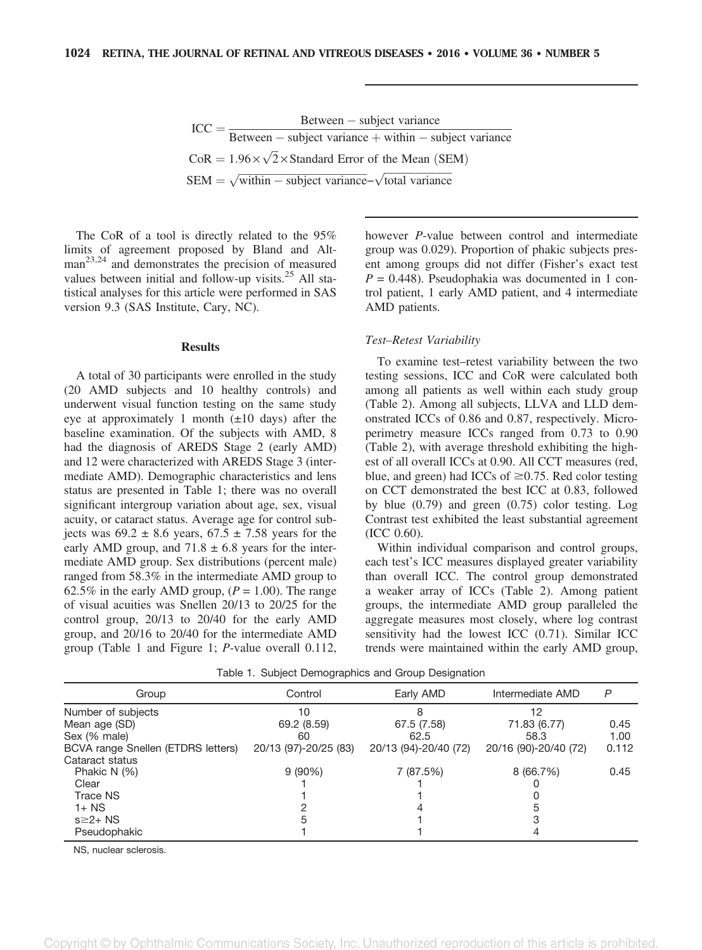| $ICC =$ | $Between - subject variance$                                                          |
|---------|---------------------------------------------------------------------------------------|
|         | Between – subject variance + within – subject variance                                |
|         | $CoR = 1.96 \times \sqrt{2} \times$ Standard Error of the Mean (SEM)                  |
|         | $SEM = \sqrt{\text{within} - \text{subject variance}} - \sqrt{\text{total variance}}$ |

The CoR of a tool is directly related to the 95% limits of agreement proposed by Bland and Alt $man<sup>23,24</sup>$  and demonstrates the precision of measured values between initial and follow-up visits. $25$  All statistical analyses for this article were performed in SAS version 9.3 (SAS Institute, Cary, NC).

#### **Results**

A total of 30 participants were enrolled in the study (20 AMD subjects and 10 healthy controls) and underwent visual function testing on the same study eye at approximately 1 month  $(\pm 10 \text{ days})$  after the baseline examination. Of the subjects with AMD, 8 had the diagnosis of AREDS Stage 2 (early AMD) and 12 were characterized with AREDS Stage 3 (intermediate AMD). Demographic characteristics and lens status are presented in Table 1; there was no overall significant intergroup variation about age, sex, visual acuity, or cataract status. Average age for control subjects was  $69.2 \pm 8.6$  years,  $67.5 \pm 7.58$  years for the early AMD group, and  $71.8 \pm 6.8$  years for the intermediate AMD group. Sex distributions (percent male) ranged from 58.3% in the intermediate AMD group to 62.5% in the early AMD group,  $(P = 1.00)$ . The range of visual acuities was Snellen 20/13 to 20/25 for the control group, 20/13 to 20/40 for the early AMD group, and 20/16 to 20/40 for the intermediate AMD group (Table 1 and Figure 1; P-value overall 0.112, however P-value between control and intermediate group was 0.029). Proportion of phakic subjects present among groups did not differ (Fisher's exact test  $P = 0.448$ ). Pseudophakia was documented in 1 control patient, 1 early AMD patient, and 4 intermediate AMD patients.

#### Test–Retest Variability

To examine test–retest variability between the two testing sessions, ICC and CoR were calculated both among all patients as well within each study group (Table 2). Among all subjects, LLVA and LLD demonstrated ICCs of 0.86 and 0.87, respectively. Microperimetry measure ICCs ranged from 0.73 to 0.90 (Table 2), with average threshold exhibiting the highest of all overall ICCs at 0.90. All CCT measures (red, blue, and green) had ICCs of  $\geq$ 0.75. Red color testing on CCT demonstrated the best ICC at 0.83, followed by blue (0.79) and green (0.75) color testing. Log Contrast test exhibited the least substantial agreement (ICC 0.60).

Within individual comparison and control groups, each test's ICC measures displayed greater variability than overall ICC. The control group demonstrated a weaker array of ICCs (Table 2). Among patient groups, the intermediate AMD group paralleled the aggregate measures most closely, where log contrast sensitivity had the lowest ICC (0.71). Similar ICC trends were maintained within the early AMD group,

| Group                              | Control               | Early AMD             | Intermediate AMD      | P     |  |
|------------------------------------|-----------------------|-----------------------|-----------------------|-------|--|
| Number of subjects                 | 10                    | 8                     | 12                    |       |  |
| Mean age (SD)                      | 69.2 (8.59)           | 67.5 (7.58)           | 71.83 (6.77)          | 0.45  |  |
| Sex (% male)                       | 60                    | 62.5                  | 58.3                  | 1.00  |  |
| BCVA range Snellen (ETDRS letters) | 20/13 (97)-20/25 (83) | 20/13 (94)-20/40 (72) | 20/16 (90)-20/40 (72) | 0.112 |  |
| Cataract status                    |                       |                       |                       |       |  |
| Phakic N $(%)$                     | $9(90\%)$             | 7 (87.5%)             | 8 (66.7%)             | 0.45  |  |
| Clear                              |                       |                       |                       |       |  |
| Trace NS                           |                       |                       |                       |       |  |
| $1+$ NS                            |                       |                       | :5                    |       |  |
| $s \geq 2 + NS$                    |                       |                       |                       |       |  |
| Pseudophakic                       |                       |                       |                       |       |  |
|                                    |                       |                       |                       |       |  |

Table 1. Subject Demographics and Group Designation

NS, nuclear sclerosis.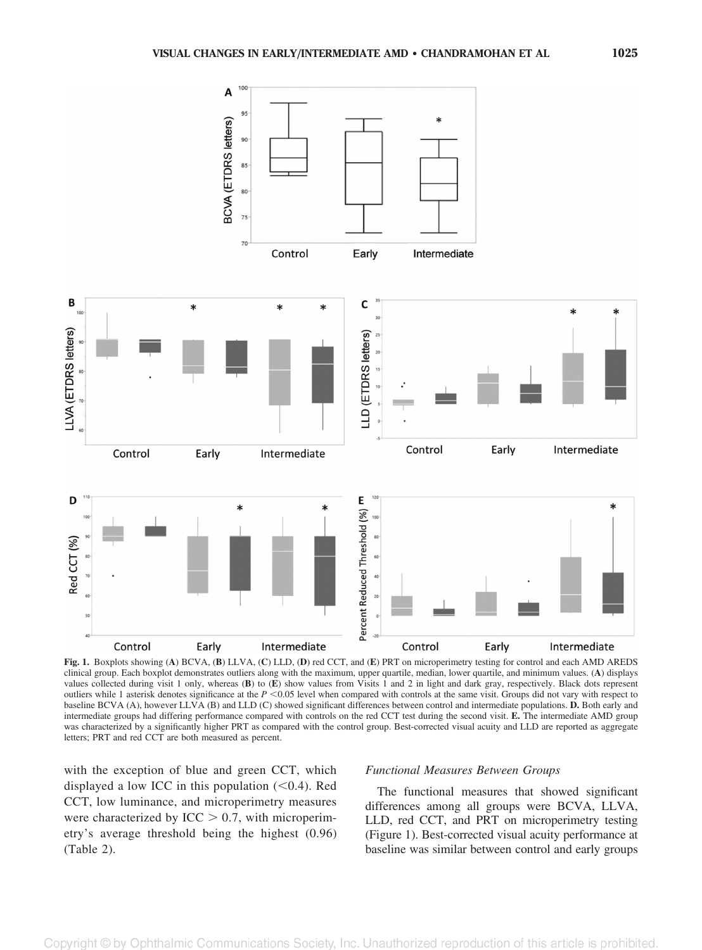



Fig. 1. Boxplots showing (A) BCVA, (B) LLVA, (C) LLD, (D) red CCT, and (E) PRT on microperimetry testing for control and each AMD AREDS clinical group. Each boxplot demonstrates outliers along with the maximum, upper quartile, median, lower quartile, and minimum values. (A) displays values collected during visit 1 only, whereas (B) to (E) show values from Visits 1 and 2 in light and dark gray, respectively. Black dots represent outliers while 1 asterisk denotes significance at the  $P \le 0.05$  level when compared with controls at the same visit. Groups did not vary with respect to baseline BCVA (A), however LLVA (B) and LLD (C) showed significant differences between control and intermediate populations. D. Both early and intermediate groups had differing performance compared with controls on the red CCT test during the second visit. E. The intermediate AMD group was characterized by a significantly higher PRT as compared with the control group. Best-corrected visual acuity and LLD are reported as aggregate letters; PRT and red CCT are both measured as percent.

with the exception of blue and green CCT, which displayed a low ICC in this population  $(< 0.4)$ . Red CCT, low luminance, and microperimetry measures were characterized by ICC  $> 0.7$ , with microperimetry's average threshold being the highest (0.96) (Table 2).

#### Functional Measures Between Groups

The functional measures that showed significant differences among all groups were BCVA, LLVA, LLD, red CCT, and PRT on microperimetry testing (Figure 1). Best-corrected visual acuity performance at baseline was similar between control and early groups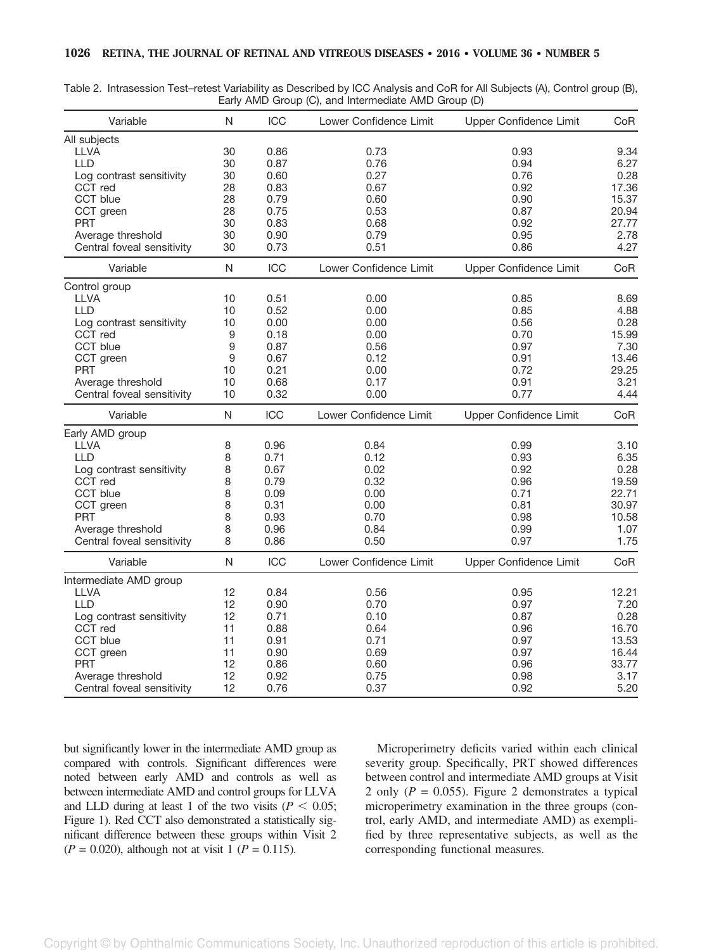|  | Table 2. Intrasession Test-retest Variability as Described by ICC Analysis and CoR for All Subjects (A), Control group (B), |                                                     |  |  |  |
|--|-----------------------------------------------------------------------------------------------------------------------------|-----------------------------------------------------|--|--|--|
|  |                                                                                                                             | Early AMD Group (C), and Intermediate AMD Group (D) |  |  |  |

| Variable                   | N           | ICC        | Lower Confidence Limit | Upper Confidence Limit | CoR   |
|----------------------------|-------------|------------|------------------------|------------------------|-------|
| All subjects               |             |            |                        |                        |       |
| <b>LLVA</b>                | 30          | 0.86       | 0.73                   | 0.93                   | 9.34  |
| <b>LLD</b>                 | 30          | 0.87       | 0.76                   | 0.94                   | 6.27  |
| Log contrast sensitivity   | 30          | 0.60       | 0.27                   | 0.76                   | 0.28  |
| CCT red                    | 28          | 0.83       | 0.67                   | 0.92                   | 17.36 |
| CCT blue                   | 28          | 0.79       | 0.60                   | 0.90                   | 15.37 |
| CCT green                  | 28          | 0.75       | 0.53                   | 0.87                   | 20.94 |
| <b>PRT</b>                 | 30          | 0.83       | 0.68                   | 0.92                   | 27.77 |
| Average threshold          | 30          | 0.90       | 0.79                   | 0.95                   | 2.78  |
| Central foveal sensitivity | 30          | 0.73       | 0.51                   | 0.86                   | 4.27  |
| Variable                   | N           | ICC        | Lower Confidence Limit | Upper Confidence Limit | CoR   |
| Control group              |             |            |                        |                        |       |
| LLVA                       | 10          | 0.51       | 0.00                   | 0.85                   | 8.69  |
| LLD                        | 10          | 0.52       | 0.00                   | 0.85                   | 4.88  |
| Log contrast sensitivity   | 10          | 0.00       | 0.00                   | 0.56                   | 0.28  |
| CCT red                    | 9           | 0.18       | 0.00                   | 0.70                   | 15.99 |
| CCT blue                   | $\mathsf g$ | 0.87       | 0.56                   | 0.97                   | 7.30  |
| CCT green                  | 9           | 0.67       | 0.12                   | 0.91                   | 13.46 |
| <b>PRT</b>                 | 10          | 0.21       | 0.00                   | 0.72                   | 29.25 |
| Average threshold          | 10          | 0.68       | 0.17                   | 0.91                   | 3.21  |
| Central foveal sensitivity | 10          | 0.32       | 0.00                   | 0.77                   | 4.44  |
| Variable                   | N           | <b>ICC</b> | Lower Confidence Limit | Upper Confidence Limit | CoR   |
| Early AMD group            |             |            |                        |                        |       |
| LLVA                       | 8           | 0.96       | 0.84                   | 0.99                   | 3.10  |
| <b>LLD</b>                 | 8           | 0.71       | 0.12                   | 0.93                   | 6.35  |
| Log contrast sensitivity   | 8           | 0.67       | 0.02                   | 0.92                   | 0.28  |
| CCT red                    | 8           | 0.79       | 0.32                   | 0.96                   | 19.59 |
| CCT blue                   | 8           | 0.09       | 0.00                   | 0.71                   | 22.71 |
| CCT green                  | 8           | 0.31       | 0.00                   | 0.81                   | 30.97 |
| <b>PRT</b>                 | 8           | 0.93       | 0.70                   | 0.98                   | 10.58 |
| Average threshold          | 8           | 0.96       | 0.84                   | 0.99                   | 1.07  |
| Central foveal sensitivity | 8           | 0.86       | 0.50                   | 0.97                   | 1.75  |
| Variable                   | N           | ICC        | Lower Confidence Limit | Upper Confidence Limit | CoR   |
| Intermediate AMD group     |             |            |                        |                        |       |
| <b>LLVA</b>                | 12          | 0.84       | 0.56                   | 0.95                   | 12.21 |
| <b>LLD</b>                 | 12          | 0.90       | 0.70                   | 0.97                   | 7.20  |
| Log contrast sensitivity   | 12          | 0.71       | 0.10                   | 0.87                   | 0.28  |
| CCT red                    | 11          | 0.88       | 0.64                   | 0.96                   | 16.70 |
| CCT blue                   | 11          | 0.91       | 0.71                   | 0.97                   | 13.53 |
| CCT green                  | 11          | 0.90       | 0.69                   | 0.97                   | 16.44 |
| <b>PRT</b>                 | 12          | 0.86       | 0.60                   | 0.96                   | 33.77 |
| Average threshold          | 12          | 0.92       | 0.75                   | 0.98                   | 3.17  |
| Central foveal sensitivity | 12          | 0.76       | 0.37                   | 0.92                   | 5.20  |

but significantly lower in the intermediate AMD group as compared with controls. Significant differences were noted between early AMD and controls as well as between intermediate AMD and control groups for LLVA and LLD during at least 1 of the two visits ( $P < 0.05$ ; Figure 1). Red CCT also demonstrated a statistically significant difference between these groups within Visit 2  $(P = 0.020)$ , although not at visit 1  $(P = 0.115)$ .

Microperimetry deficits varied within each clinical severity group. Specifically, PRT showed differences between control and intermediate AMD groups at Visit 2 only ( $P = 0.055$ ). Figure 2 demonstrates a typical microperimetry examination in the three groups (control, early AMD, and intermediate AMD) as exemplified by three representative subjects, as well as the corresponding functional measures.

Copyright © by Ophthalmic Communications Society, Inc. Unauthorized reproduction of this article is prohibited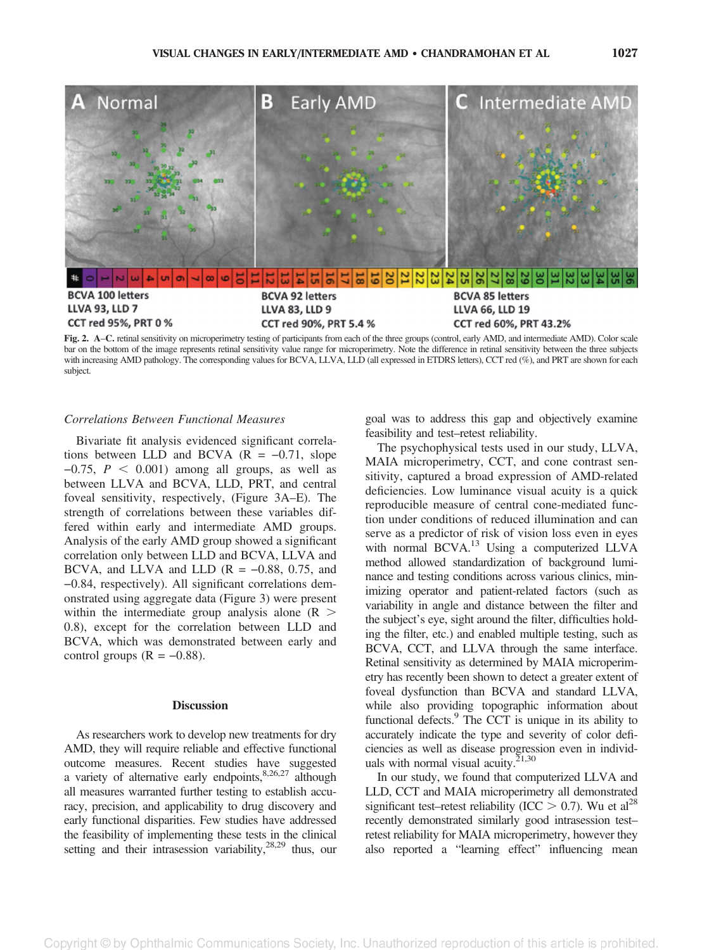

bar on the bottom of the image represents retinal sensitivity value range for microperimetry. Note the difference in retinal sensitivity between the three subjects with increasing AMD pathology. The corresponding values for BCVA, LLVA, LLD (all expressed in ETDRS letters), CCT red (%), and PRT are shown for each subject.

## Correlations Between Functional Measures −

Bivariate fit analysis evidenced significant correlations between LLD and BCVA ( $R = -0.71$ , slope  $-0.75$ ,  $P < 0.001$ ) among all groups, as well as between LLVA and BCVA, LLD, PRT, and central foveal sensitivity, respectively, (Figure 3A–E). The strength of correlations between these variables differed within early and intermediate AMD groups.<br>Analysis of the early AMD group showed a significant<br>correlation only between LLD and BCVA, LLVA and<br>BCVA, and LLVA and LLD ( $R = -0.88$ , 0.75, and Analysis of the early AMD group showed a significant correlation only between LLD and BCVA, LLVA and 0.84, respectively). All significant correlations demonstrated using aggregate data (Figure 3) were present within the intermediate group analysis alone ( $R > 0.8$ ), except for the correlation between LLD and BCVA, which was demonstrated between early and control groups ( $R = -0.88$ ). 0.8), except for the correlation between LLD and BCVA, which was demonstrated between early and

#### **Discussion**

As researchers work to develop new treatments for dry AMD, they will require reliable and effective functional outcome measures. Recent studies have suggested a variety of alternative early endpoints, $8,26,27$  although all measures warranted further testing to establish accuracy, precision, and applicability to drug discovery and early functional disparities. Few studies have addressed the feasibility of implementing these tests in the clinical setting and their intrasession variability,  $28,29$  thus, our goal was to address this gap and objectively examine feasibility and test–retest reliability.

The psychophysical tests used in our study, LLVA, MAIA microperimetry, CCT, and cone contrast sensitivity, captured a broad expression of AMD-related deficiencies. Low luminance visual acuity is a quick reproducible measure of central cone-mediated function under conditions of reduced illumination and can serve as a predictor of risk of vision loss even in eyes with normal BCVA.<sup>13</sup> Using a computerized LLVA method allowed standardization of background luminance and testing conditions across various clinics, minimizing operator and patient-related factors (such as variability in angle and distance between the filter and the subject's eye, sight around the filter, difficulties holding the filter, etc.) and enabled multiple testing, such as BCVA, CCT, and LLVA through the same interface. Retinal sensitivity as determined by MAIA microperimetry has recently been shown to detect a greater extent of foveal dysfunction than BCVA and standard LLVA, while also providing topographic information about functional defects.<sup>9</sup> The CCT is unique in its ability to accurately indicate the type and severity of color deficiencies as well as disease progression even in individuals with normal visual acuity. $2^{1,30}$ 

In our study, we found that computerized LLVA and LLD, CCT and MAIA microperimetry all demonstrated significant test–retest reliability (ICC  $> 0.7$ ). Wu et al<sup>28</sup> recently demonstrated similarly good intrasession test– retest reliability for MAIA microperimetry, however they also reported a "learning effect" influencing mean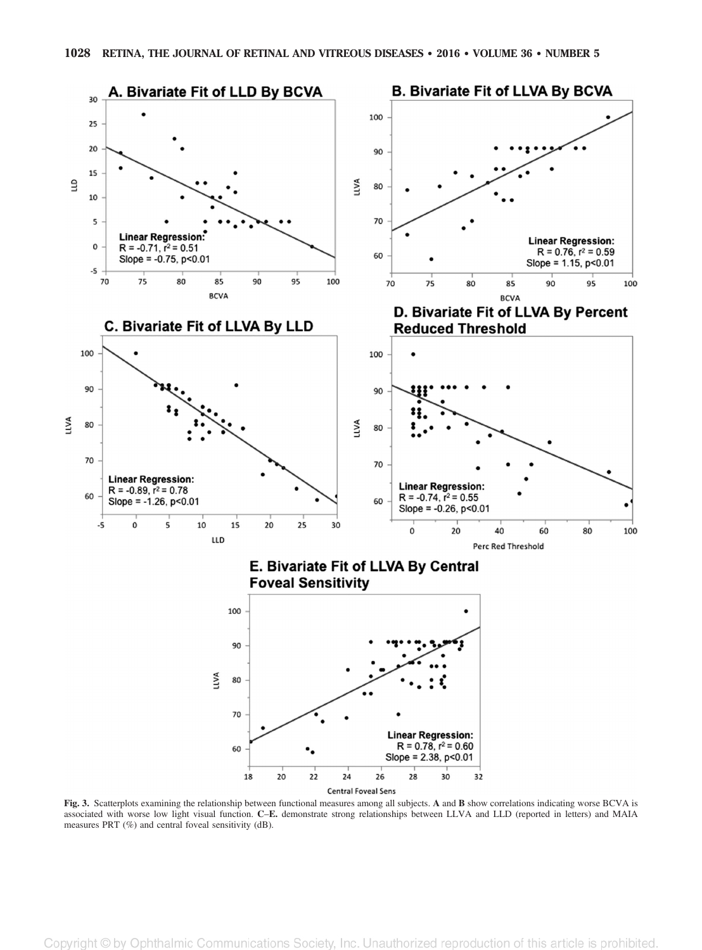

Fig. 3. Scatterplots examining the relationship between functional measures among all subjects. A and B show correlations indicating worse BCVA is associated with worse low light visual function. C–E. demonstrate strong relationships between LLVA and LLD (reported in letters) and MAIA measures PRT (%) and central foveal sensitivity (dB).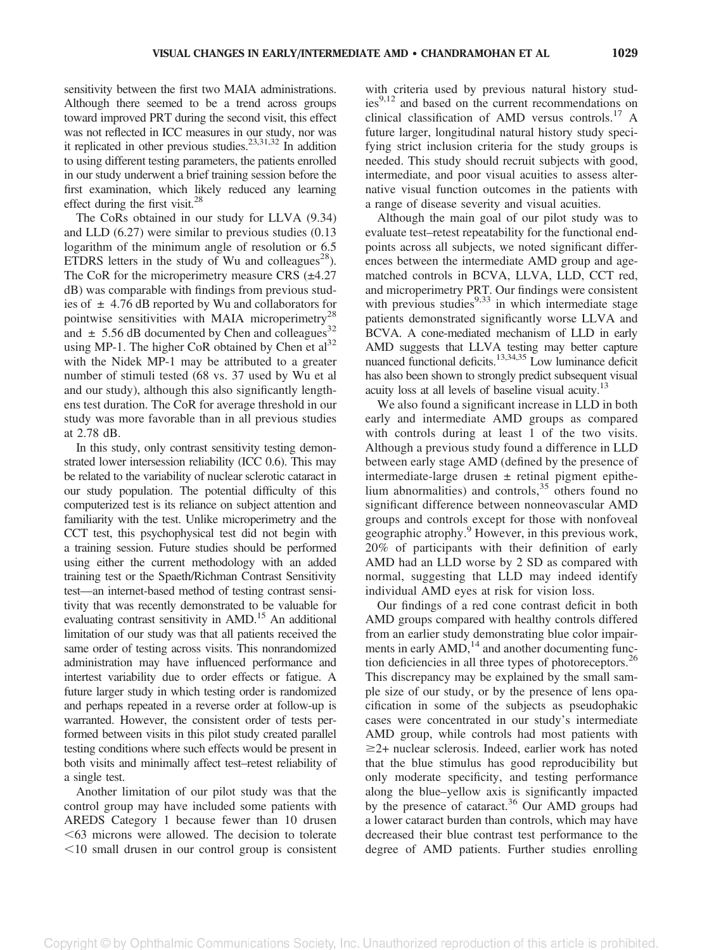sensitivity between the first two MAIA administrations. Although there seemed to be a trend across groups toward improved PRT during the second visit, this effect was not reflected in ICC measures in our study, nor was it replicated in other previous studies.<sup>23,31,32</sup> In addition to using different testing parameters, the patients enrolled in our study underwent a brief training session before the first examination, which likely reduced any learning effect during the first visit.<sup>28</sup>

The CoRs obtained in our study for LLVA (9.34) and LLD (6.27) were similar to previous studies (0.13 logarithm of the minimum angle of resolution or 6.5 ETDRS letters in the study of Wu and colleagues<sup>28</sup>). The CoR for the microperimetry measure CRS (±4.27) dB) was comparable with findings from previous studies of  $\pm$  4.76 dB reported by Wu and collaborators for pointwise sensitivities with MAIA microperimetry<sup>28</sup> and  $\pm$  5.56 dB documented by Chen and colleagues<sup>32</sup> using MP-1. The higher CoR obtained by Chen et  $al<sup>32</sup>$ with the Nidek MP-1 may be attributed to a greater number of stimuli tested (68 vs. 37 used by Wu et al and our study), although this also significantly lengthens test duration. The CoR for average threshold in our study was more favorable than in all previous studies at 2.78 dB.

In this study, only contrast sensitivity testing demonstrated lower intersession reliability (ICC 0.6). This may be related to the variability of nuclear sclerotic cataract in our study population. The potential difficulty of this computerized test is its reliance on subject attention and familiarity with the test. Unlike microperimetry and the CCT test, this psychophysical test did not begin with a training session. Future studies should be performed using either the current methodology with an added training test or the Spaeth/Richman Contrast Sensitivity test—an internet-based method of testing contrast sensitivity that was recently demonstrated to be valuable for evaluating contrast sensitivity in AMD.<sup>15</sup> An additional limitation of our study was that all patients received the same order of testing across visits. This nonrandomized administration may have influenced performance and intertest variability due to order effects or fatigue. A future larger study in which testing order is randomized and perhaps repeated in a reverse order at follow-up is warranted. However, the consistent order of tests performed between visits in this pilot study created parallel testing conditions where such effects would be present in both visits and minimally affect test–retest reliability of a single test.

Another limitation of our pilot study was that the control group may have included some patients with AREDS Category 1 because fewer than 10 drusen  $\leq 63$  microns were allowed. The decision to tolerate  $<$ 10 small drusen in our control group is consistent with criteria used by previous natural history stud- $\text{ies}^{9,12}$  and based on the current recommendations on clinical classification of AMD versus controls.<sup>17</sup> A future larger, longitudinal natural history study specifying strict inclusion criteria for the study groups is needed. This study should recruit subjects with good, intermediate, and poor visual acuities to assess alternative visual function outcomes in the patients with a range of disease severity and visual acuities.

Although the main goal of our pilot study was to evaluate test–retest repeatability for the functional endpoints across all subjects, we noted significant differences between the intermediate AMD group and agematched controls in BCVA, LLVA, LLD, CCT red, and microperimetry PRT. Our findings were consistent with previous studies $9,33$  in which intermediate stage patients demonstrated significantly worse LLVA and BCVA. A cone-mediated mechanism of LLD in early AMD suggests that LLVA testing may better capture nuanced functional deficits.<sup>13,34,35</sup> Low luminance deficit has also been shown to strongly predict subsequent visual acuity loss at all levels of baseline visual acuity.<sup>13</sup>

We also found a significant increase in LLD in both early and intermediate AMD groups as compared with controls during at least 1 of the two visits. Although a previous study found a difference in LLD between early stage AMD (defined by the presence of intermediate-large drusen  $\pm$  retinal pigment epithelium abnormalities) and controls,  $35$  others found no significant difference between nonneovascular AMD groups and controls except for those with nonfoveal geographic atrophy.<sup>9</sup> However, in this previous work, 20% of participants with their definition of early AMD had an LLD worse by 2 SD as compared with normal, suggesting that LLD may indeed identify individual AMD eyes at risk for vision loss.

Our findings of a red cone contrast deficit in both AMD groups compared with healthy controls differed from an earlier study demonstrating blue color impairments in early  $AMD$ ,<sup>14</sup> and another documenting function deficiencies in all three types of photoreceptors.<sup>26</sup> This discrepancy may be explained by the small sample size of our study, or by the presence of lens opacification in some of the subjects as pseudophakic cases were concentrated in our study's intermediate AMD group, while controls had most patients with  $\geq$ 2+ nuclear sclerosis. Indeed, earlier work has noted that the blue stimulus has good reproducibility but only moderate specificity, and testing performance along the blue–yellow axis is significantly impacted by the presence of cataract.<sup>36</sup> Our AMD groups had a lower cataract burden than controls, which may have decreased their blue contrast test performance to the degree of AMD patients. Further studies enrolling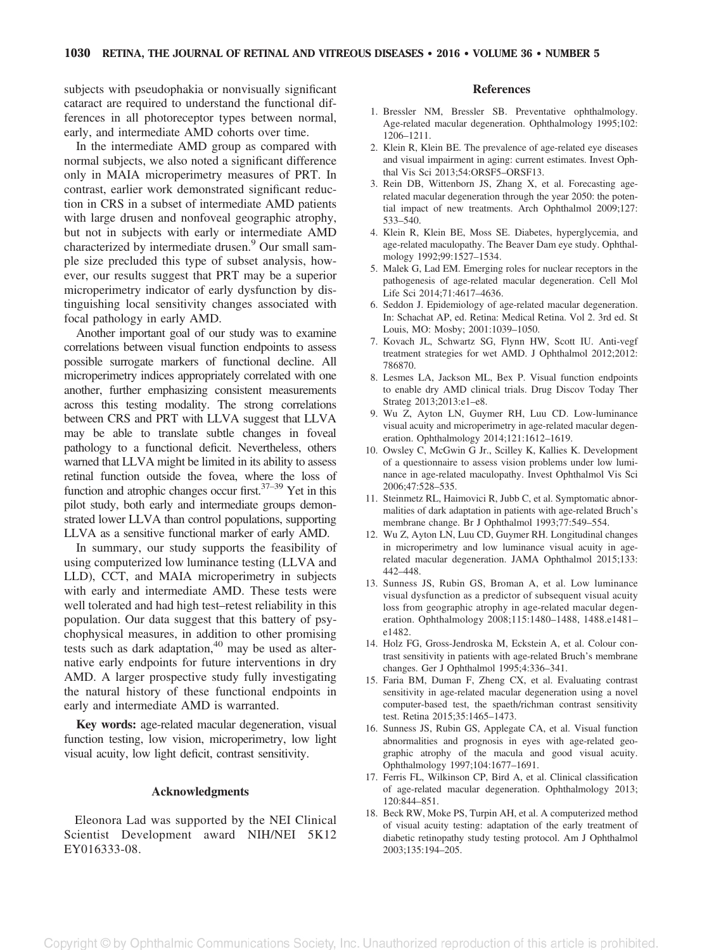subjects with pseudophakia or nonvisually significant cataract are required to understand the functional differences in all photoreceptor types between normal, early, and intermediate AMD cohorts over time.

In the intermediate AMD group as compared with normal subjects, we also noted a significant difference only in MAIA microperimetry measures of PRT. In contrast, earlier work demonstrated significant reduction in CRS in a subset of intermediate AMD patients with large drusen and nonfoveal geographic atrophy, but not in subjects with early or intermediate AMD characterized by intermediate drusen.<sup>9</sup> Our small sample size precluded this type of subset analysis, however, our results suggest that PRT may be a superior microperimetry indicator of early dysfunction by distinguishing local sensitivity changes associated with focal pathology in early AMD.

Another important goal of our study was to examine correlations between visual function endpoints to assess possible surrogate markers of functional decline. All microperimetry indices appropriately correlated with one another, further emphasizing consistent measurements across this testing modality. The strong correlations between CRS and PRT with LLVA suggest that LLVA may be able to translate subtle changes in foveal pathology to a functional deficit. Nevertheless, others warned that LLVA might be limited in its ability to assess retinal function outside the fovea, where the loss of function and atrophic changes occur first.  $37-39$  Yet in this pilot study, both early and intermediate groups demonstrated lower LLVA than control populations, supporting LLVA as a sensitive functional marker of early AMD.

In summary, our study supports the feasibility of using computerized low luminance testing (LLVA and LLD), CCT, and MAIA microperimetry in subjects with early and intermediate AMD. These tests were well tolerated and had high test–retest reliability in this population. Our data suggest that this battery of psychophysical measures, in addition to other promising tests such as dark adaptation, $40$  may be used as alternative early endpoints for future interventions in dry AMD. A larger prospective study fully investigating the natural history of these functional endpoints in early and intermediate AMD is warranted.

Key words: age-related macular degeneration, visual function testing, low vision, microperimetry, low light visual acuity, low light deficit, contrast sensitivity.

#### Acknowledgments

Eleonora Lad was supported by the NEI Clinical Scientist Development award NIH/NEI 5K12 EY016333-08.

#### References

- 1. Bressler NM, Bressler SB. Preventative ophthalmology. Age-related macular degeneration. Ophthalmology 1995;102: 1206–1211.
- 2. Klein R, Klein BE. The prevalence of age-related eye diseases and visual impairment in aging: current estimates. Invest Ophthal Vis Sci 2013;54:ORSF5–ORSF13.
- 3. Rein DB, Wittenborn JS, Zhang X, et al. Forecasting agerelated macular degeneration through the year 2050: the potential impact of new treatments. Arch Ophthalmol 2009;127: 533–540.
- 4. Klein R, Klein BE, Moss SE. Diabetes, hyperglycemia, and age-related maculopathy. The Beaver Dam eye study. Ophthalmology 1992;99:1527–1534.
- 5. Malek G, Lad EM. Emerging roles for nuclear receptors in the pathogenesis of age-related macular degeneration. Cell Mol Life Sci 2014;71:4617–4636.
- 6. Seddon J. Epidemiology of age-related macular degeneration. In: Schachat AP, ed. Retina: Medical Retina. Vol 2. 3rd ed. St Louis, MO: Mosby; 2001:1039–1050.
- 7. Kovach JL, Schwartz SG, Flynn HW, Scott IU. Anti-vegf treatment strategies for wet AMD. J Ophthalmol 2012;2012: 786870.
- 8. Lesmes LA, Jackson ML, Bex P. Visual function endpoints to enable dry AMD clinical trials. Drug Discov Today Ther Strateg 2013;2013:e1–e8.
- 9. Wu Z, Ayton LN, Guymer RH, Luu CD. Low-luminance visual acuity and microperimetry in age-related macular degeneration. Ophthalmology 2014;121:1612–1619.
- 10. Owsley C, McGwin G Jr., Scilley K, Kallies K. Development of a questionnaire to assess vision problems under low luminance in age-related maculopathy. Invest Ophthalmol Vis Sci 2006;47:528–535.
- 11. Steinmetz RL, Haimovici R, Jubb C, et al. Symptomatic abnormalities of dark adaptation in patients with age-related Bruch's membrane change. Br J Ophthalmol 1993;77:549–554.
- 12. Wu Z, Ayton LN, Luu CD, Guymer RH. Longitudinal changes in microperimetry and low luminance visual acuity in agerelated macular degeneration. JAMA Ophthalmol 2015;133: 442–448.
- 13. Sunness JS, Rubin GS, Broman A, et al. Low luminance visual dysfunction as a predictor of subsequent visual acuity loss from geographic atrophy in age-related macular degeneration. Ophthalmology 2008;115:1480–1488, 1488.e1481– e1482.
- 14. Holz FG, Gross-Jendroska M, Eckstein A, et al. Colour contrast sensitivity in patients with age-related Bruch's membrane changes. Ger J Ophthalmol 1995;4:336–341.
- 15. Faria BM, Duman F, Zheng CX, et al. Evaluating contrast sensitivity in age-related macular degeneration using a novel computer-based test, the spaeth/richman contrast sensitivity test. Retina 2015;35:1465–1473.
- 16. Sunness JS, Rubin GS, Applegate CA, et al. Visual function abnormalities and prognosis in eyes with age-related geographic atrophy of the macula and good visual acuity. Ophthalmology 1997;104:1677–1691.
- 17. Ferris FL, Wilkinson CP, Bird A, et al. Clinical classification of age-related macular degeneration. Ophthalmology 2013; 120:844–851.
- 18. Beck RW, Moke PS, Turpin AH, et al. A computerized method of visual acuity testing: adaptation of the early treatment of diabetic retinopathy study testing protocol. Am J Ophthalmol 2003;135:194–205.